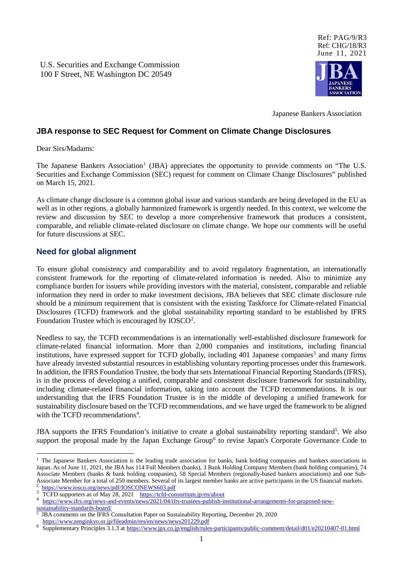U.S. Securities and Exchange Commission 100 F Street, NE Washington DC 20549



Japanese Bankers Association

#### **JBA response to SEC Request for Comment on Climate Change Disclosures**

Dear Sirs/Madams:

The Japanese Bankers Association<sup>[1](#page-0-0)</sup> (JBA) appreciates the opportunity to provide comments on "The U.S. Securities and Exchange Commission (SEC) request for comment on Climate Change Disclosures" published on March 15, 2021.

As climate change disclosure is a common global issue and various standards are being developed in the EU as well as in other regions, a globally harmonized framework is urgently needed. In this context, we welcome the review and discussion by SEC to develop a more comprehensive framework that produces a consistent, comparable, and reliable climate-related disclosure on climate change. We hope our comments will be useful for future discussions at SEC.

#### **Need for global alignment**

To ensure global consistency and comparability and to avoid regulatory fragmentation, an internationally consistent framework for the reporting of climate-related information is needed. Also to minimize any compliance burden for issuers while providing investors with the material, consistent, comparable and reliable information they need in order to make investment decisions, JBA believes that SEC climate disclosure rule should be a minimum requirement that is consistent with the existing Taskforce for Climate-related Financial Disclosures (TCFD) framework and the global sustainability reporting standard to be established by IFRS Foundation Trustee which is encouraged by IOSCO<sup>[2](#page-0-1)</sup>.

Needless to say, the TCFD recommendations is an internationally well-established disclosure framework for climate-related financial information. More than 2,000 companies and institutions, including financial institutions, have expressed support for TCFD globally, including  $401$  Japanese companies<sup>[3](#page-0-2)</sup> and many firms have already invested substantial resources in establishing voluntary reporting processes under this framework. In addition, the IFRS Foundation Trustee, the body that sets International Financial Reporting Standards (IFRS), is in the process of developing a unified, comparable and consistent disclosure framework for sustainability, including climate-related financial information, taking into account the TCFD recommendations. It is our understanding that the IFRS Foundation Trustee is in the middle of developing a unified framework for sustainability disclosure based on the TCFD recommendations, and we have urged the framework to be aligned with the TCFD recommendations<sup>[4](#page-0-3)</sup>.

JBA supports the IFRS Foundation's initiative to create a global sustainability reporting standard<sup>[5](#page-0-4)</sup>. We also support the proposal made by the Japan Exchange Group<sup>[6](#page-0-5)</sup> to revise Japan's Corporate Governance Code to

<span id="page-0-0"></span> $<sup>1</sup>$  The Japanese Bankers Association is the leading trade association for banks, bank holding companies and bankers associations in</sup> Japan. As of June 11, 2021, the JBA has 114 Full Members (banks), 3 Bank Holding Company Members (bank holding companies), 74 Associate Members (banks & bank holding companies), 58 Special Members (regionally-based bankers associations) and one Sub-Associate Member for a total of 250 members. Several of its largest member banks are active participants in the US financial markets.<br><sup>2</sup> https://www.iosco.org/news/pdf/IOSCONEWS603.pdf

<span id="page-0-2"></span><span id="page-0-1"></span>

<sup>&</sup>lt;sup>3</sup><br>TCFD supporters as of May 28, 2021 <u><https://tcfd-consortium.jp/en/about></u><br>[https://www.ifrs.org/news-and-events/news/2021/04/ifrs-trustees-publish-institutional-arrangements-for-proposed-new-](https://www.ifrs.org/news-and-events/news/2021/04/ifrs-trustees-publish-institutional-arrangements-for-proposed-new-sustainability-standards-board/)

<span id="page-0-3"></span>[sustainability-standards-board/](https://www.ifrs.org/news-and-events/news/2021/04/ifrs-trustees-publish-institutional-arrangements-for-proposed-new-sustainability-standards-board/)

<span id="page-0-4"></span><sup>&</sup>lt;sup>5</sup> JBA comments on the IFRS Consultation Paper on Sustainability Reporting, December 29, 2020<br>https://www.zenginkyo.or.jp/fileadmin/res/en/news/news201229.pdf

<span id="page-0-5"></span>Supplementary Principles 3.1.3 at <https://www.jpx.co.jp/english/rules-participants/public-comment/detail/d01/e20210407-01.html>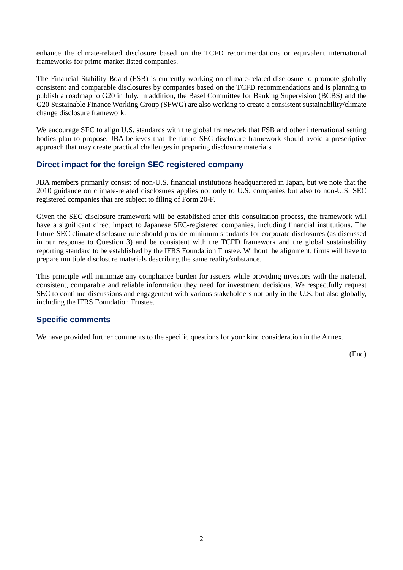enhance the climate-related disclosure based on the TCFD recommendations or equivalent international frameworks for prime market listed companies.

The Financial Stability Board (FSB) is currently working on climate-related disclosure to promote globally consistent and comparable disclosures by companies based on the TCFD recommendations and is planning to publish a roadmap to G20 in July. In addition, the Basel Committee for Banking Supervision (BCBS) and the G20 Sustainable Finance Working Group (SFWG) are also working to create a consistent sustainability/climate change disclosure framework.

We encourage SEC to align U.S. standards with the global framework that FSB and other international setting bodies plan to propose. JBA believes that the future SEC disclosure framework should avoid a prescriptive approach that may create practical challenges in preparing disclosure materials.

#### **Direct impact for the foreign SEC registered company**

JBA members primarily consist of non-U.S. financial institutions headquartered in Japan, but we note that the 2010 guidance on climate-related disclosures applies not only to U.S. companies but also to non-U.S. SEC registered companies that are subject to filing of Form 20-F.

Given the SEC disclosure framework will be established after this consultation process, the framework will have a significant direct impact to Japanese SEC-registered companies, including financial institutions. The future SEC climate disclosure rule should provide minimum standards for corporate disclosures (as discussed in our response to Question 3) and be consistent with the TCFD framework and the global sustainability reporting standard to be established by the IFRS Foundation Trustee. Without the alignment, firms will have to prepare multiple disclosure materials describing the same reality/substance.

This principle will minimize any compliance burden for issuers while providing investors with the material, consistent, comparable and reliable information they need for investment decisions. We respectfully request SEC to continue discussions and engagement with various stakeholders not only in the U.S. but also globally, including the IFRS Foundation Trustee.

#### **Specific comments**

We have provided further comments to the specific questions for your kind consideration in the Annex.

(End)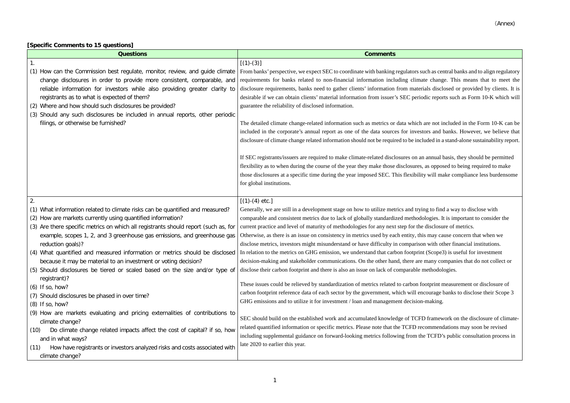#### **[Specific Comments to 15 questions]**

| <b>Questions</b>                                                                                                                                                                                                                                                                                                                                                                                                                                                                                                                                                                                                                                                                                                                                                                              | <b>Comments</b>                                                                                                                                                                                                                                                                                                                                                                                                                                                                                                                                                                                                                                                                                                                                                                                                                                                                                                                                                                                                                                                                                                                                                                                                                                     |
|-----------------------------------------------------------------------------------------------------------------------------------------------------------------------------------------------------------------------------------------------------------------------------------------------------------------------------------------------------------------------------------------------------------------------------------------------------------------------------------------------------------------------------------------------------------------------------------------------------------------------------------------------------------------------------------------------------------------------------------------------------------------------------------------------|-----------------------------------------------------------------------------------------------------------------------------------------------------------------------------------------------------------------------------------------------------------------------------------------------------------------------------------------------------------------------------------------------------------------------------------------------------------------------------------------------------------------------------------------------------------------------------------------------------------------------------------------------------------------------------------------------------------------------------------------------------------------------------------------------------------------------------------------------------------------------------------------------------------------------------------------------------------------------------------------------------------------------------------------------------------------------------------------------------------------------------------------------------------------------------------------------------------------------------------------------------|
| $\mathbf{1}$ .                                                                                                                                                                                                                                                                                                                                                                                                                                                                                                                                                                                                                                                                                                                                                                                | $[(1)-(3)]$                                                                                                                                                                                                                                                                                                                                                                                                                                                                                                                                                                                                                                                                                                                                                                                                                                                                                                                                                                                                                                                                                                                                                                                                                                         |
| (1) How can the Commission best regulate, monitor, review, and guide climate<br>change disclosures in order to provide more consistent, comparable, and<br>reliable information for investors while also providing greater clarity to<br>registrants as to what is expected of them?<br>(2) Where and how should such disclosures be provided?<br>(3) Should any such disclosures be included in annual reports, other periodic<br>filings, or otherwise be furnished?                                                                                                                                                                                                                                                                                                                        | From banks' perspective, we expect SEC to coordinate with banking regulators such as cen<br>requirements for banks related to non-financial information including climate change<br>disclosure requirements, banks need to gather clients' information from materials discl<br>desirable if we can obtain clients' material information from issuer's SEC periodic repor<br>guarantee the reliability of disclosed information.<br>The detailed climate change-related information such as metrics or data which are not in<br>included in the corporate's annual report as one of the data sources for investors and<br>disclosure of climate change related information should not be required to be included in a<br>If SEC registrants/issuers are required to make climate-related disclosures on an annual<br>flexibility as to when during the course of the year they make those disclosures, as oppos<br>those disclosures at a specific time during the year imposed SEC. This flexibility will ma<br>for global institutions.                                                                                                                                                                                                            |
| 2.<br>What information related to climate risks can be quantified and measured?<br>(1)<br>(2) How are markets currently using quantified information?<br>(3) Are there specific metrics on which all registrants should report (such as, for<br>example, scopes 1, 2, and 3 greenhouse gas emissions, and greenhouse gas<br>reduction goals)?<br>(4) What quantified and measured information or metrics should be disclosed<br>because it may be material to an investment or voting decision?<br>(5) Should disclosures be tiered or scaled based on the size and/or type of<br>registrant)?<br>$(6)$ If so, how?<br>(7) Should disclosures be phased in over time?<br>$(8)$ If so, how?<br>(9) How are markets evaluating and pricing externalities of contributions to<br>climate change? | $[(1)-(4) etc.]$<br>Generally, we are still in a development stage on how to utilize metrics and trying to find<br>comparable and consistent metrics due to lack of globally standardized methodologies. I<br>current practice and level of maturity of methodologies for any next step for the disclosu<br>Otherwise, as there is an issue on consistency in metrics used by each entity, this may ca<br>disclose metrics, investors might misunderstand or have difficulty in comparison with ot<br>In relation to the metrics on GHG emission, we understand that carbon footprint (Scope?<br>decision-making and stakeholder communications. On the other hand, there are many co<br>disclose their carbon footprint and there is also an issue on lack of comparable methodol<br>These issues could be relieved by standardization of metrics related to carbon footprint r<br>carbon footprint reference data of each sector by the government, which will encourage<br>GHG emissions and to utilize it for investment / loan and management decision-making.<br>SEC should build on the established work and accumulated knowledge of TCFD framew<br>related quantified information or specific metrics. Please note that the TCFD recommend |
| Do climate change related impacts affect the cost of capital? if so, how<br>(10)<br>and in what ways?<br>How have registrants or investors analyzed risks and costs associated with<br>(11)<br>climate change?                                                                                                                                                                                                                                                                                                                                                                                                                                                                                                                                                                                | including supplemental guidance on forward-looking metrics following from the TCFD'<br>late 2020 to earlier this year.                                                                                                                                                                                                                                                                                                                                                                                                                                                                                                                                                                                                                                                                                                                                                                                                                                                                                                                                                                                                                                                                                                                              |

and banks and to align regulatory is as central banks and to align regulatory change. This means that to meet the s disclosed or provided by clients. It is c reports such as Form 10-K which will

 $\theta$  not included in the Form 10-K can be is and banks. However, we believe that led in a stand-alone sustainability report.

In secure are registers are required to make comake contained annual basis, they should be permitted s opposed to being required to make will make compliance less burdensome

to find a way to disclose with parable and consider the state in the standardized methodologies. It is important to consider the isclosure of metrics.

may cause concern that when we with other financial institutions. Scope3) is useful for investment any companies that do not collect or ethodologies.

tprint measurement or disclosure of ourage banks to disclose their Scope 3

Framework on the disclosure of climatemmendations may soon be revised TCFD's public consultation process in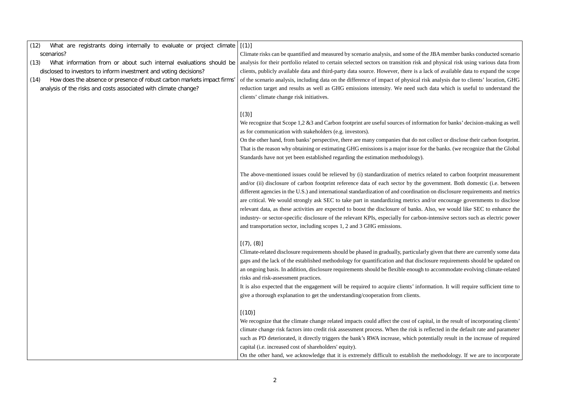- (12) What are registrants doing internally to evaluate or project climate [(1)] scenarios?
- (13) What information from or about such internal evaluations should be disclosed to investors to inform investment and voting decisions?
- (14) How does the absence or presence of robust carbon markets impact firms' analysis of the risks and costs associated with climate change?

We recognize that Scope 1,2  $\&$ 3 and Carbon footprint are useful sources of information for banks' decision-making as well as for communication with stakeholders (e.g. investors).

Climate risks can be quantified and measured by scenario analysis, and some of the JBA member banks conducted scenario analysis for their portfolio related to certain selected sectors on transition risk and physical risk using various data from clients, publicly available data and third-party data source. However, there is a lack of available data to expand the scope of the scenario analysis, including data on the difference of impact of physical risk analysis due to clients' location, GHG reduction target and results as well as GHG emissions intensity. We need such data which is useful to understand the clients' climate change risk initiatives.

### [(3)]

On the other hand, from banks' perspective, there are many companies that do not collect or disclose their carbon footprint. That is the reason why obtaining or estimating GHG emissions is a major issue for the banks. (we recognize that the Global Standards have not yet been established regarding the estimation methodology).

We recognize that the climate change related impacts could affect the cost of capital, in the result of incorporating clients' climate change risk factors into credit risk assessment process. When the risk is reflected in the default rate and parameter such as PD deteriorated, it directly triggers the bank's RWA increase, which potentially result in the increase of required capital (i.e. increased cost of shareholders' equity).

The above-mentioned issues could be relieved by (i) standardization of metrics related to carbon footprint measurement and/or (ii) disclosure of carbon footprint reference data of each sector by the government. Both domestic (i.e. between different agencies in the U.S.) and international standardization of and coordination on disclosure requirements and metrics are critical. We would strongly ask SEC to take part in standardizing metrics and/or encourage governments to disclose relevant data, as these activities are expected to boost the disclosure of banks. Also, we would like SEC to enhance the industry- or sector-specific disclosure of the relevant KPIs, especially for carbon-intensive sectors such as electric power and transportation sector, including scopes 1, 2 and 3 GHG emissions.

## $[(7), (8)]$

Climate-related disclosure requirements should be phased in gradually, particularly given that there are currently some data gaps and the lack of the established methodology for quantification and that disclosure requirements should be updated on an ongoing basis. In addition, disclosure requirements should be flexible enough to accommodate evolving climate-related risks and risk-assessment practices.

It is also expected that the engagement will be required to acquire clients' information. It will require sufficient time to give a thorough explanation to get the understanding/cooperation from clients.

# $[(10)]$

On the other hand, we acknowledge that it is extremely difficult to establish the methodology. If we are to incorporate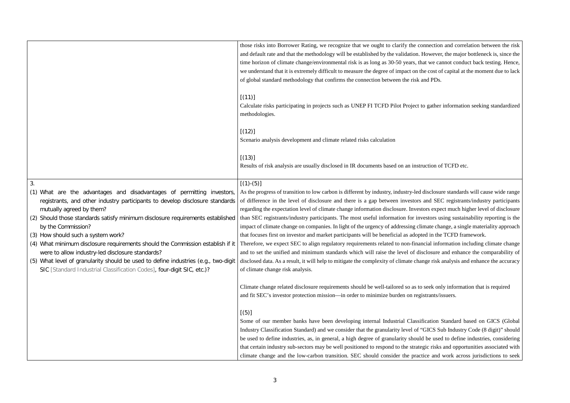ection and correlation between the risk wever, the major bottleneck is, since the we cannot conduct back testing. Hence, ost of capital at the moment due to lack

ather information seeking standardized

ion of TCFD etc.

closure standards will cause wide range SEC registrants/industry participants expect much higher level of disclosure ors using sustainability reporting is the te change, a single materiality approach in the TCFD framework.

information including climate change sure and enhance the comparability of risk analysis and enhance the accuracy

ek only information that is required nts/issuers.

ion Standard based on GICS (Global CS Sub Industry Code (8 digit)" should be used to define industries, considering risks and opportunities associated with and work across jurisdictions to seek

|                                                                                                                                                                                                                                                                                                                                                                                                                                                                                                                                                                                                                                              | those risks into Borrower Rating, we recognize that we ought to clarify the connection<br>and default rate and that the methodology will be established by the validation. However<br>time horizon of climate change/environmental risk is as long as 30-50 years, that we ca<br>we understand that it is extremely difficult to measure the degree of impact on the cost o<br>of global standard methodology that confirms the connection between the risk and PDs.                                                                                                                                                                                                                                                                                                                                                                                                                                        |
|----------------------------------------------------------------------------------------------------------------------------------------------------------------------------------------------------------------------------------------------------------------------------------------------------------------------------------------------------------------------------------------------------------------------------------------------------------------------------------------------------------------------------------------------------------------------------------------------------------------------------------------------|-------------------------------------------------------------------------------------------------------------------------------------------------------------------------------------------------------------------------------------------------------------------------------------------------------------------------------------------------------------------------------------------------------------------------------------------------------------------------------------------------------------------------------------------------------------------------------------------------------------------------------------------------------------------------------------------------------------------------------------------------------------------------------------------------------------------------------------------------------------------------------------------------------------|
|                                                                                                                                                                                                                                                                                                                                                                                                                                                                                                                                                                                                                                              | [(11)]<br>Calculate risks participating in projects such as UNEP FI TCFD Pilot Project to gather<br>methodologies.                                                                                                                                                                                                                                                                                                                                                                                                                                                                                                                                                                                                                                                                                                                                                                                          |
|                                                                                                                                                                                                                                                                                                                                                                                                                                                                                                                                                                                                                                              | [(12)]<br>Scenario analysis development and climate related risks calculation                                                                                                                                                                                                                                                                                                                                                                                                                                                                                                                                                                                                                                                                                                                                                                                                                               |
|                                                                                                                                                                                                                                                                                                                                                                                                                                                                                                                                                                                                                                              | [(13)]<br>Results of risk analysis are usually disclosed in IR documents based on an instruction of                                                                                                                                                                                                                                                                                                                                                                                                                                                                                                                                                                                                                                                                                                                                                                                                         |
| 3.<br>(1) What are the advantages and disadvantages of permitting investors,<br>registrants, and other industry participants to develop disclosure standards<br>mutually agreed by them?<br>(2) Should those standards satisfy minimum disclosure requirements established<br>by the Commission?<br>(3) How should such a system work?<br>(4) What minimum disclosure requirements should the Commission establish if it<br>were to allow industry-led disclosure standards?<br>(5) What level of granularity should be used to define industries (e.g., two-digit<br>SIC [Standard Industrial Classification Codes], four-digit SIC, etc.)? | $[(1)-(5)]$<br>As the progress of transition to low carbon is different by industry, industry-led disclosu<br>of difference in the level of disclosure and there is a gap between investors and SE<br>regarding the expectation level of climate change information disclosure. Investors expe<br>than SEC registrants/industry participants. The most useful information for investors u<br>impact of climate change on companies. In light of the urgency of addressing climate cha<br>that focuses first on investor and market participants will be beneficial as adopted in the<br>Therefore, we expect SEC to align regulatory requirements related to non-financial info<br>and to set the unified and minimum standards which will raise the level of disclosure<br>disclosed data. As a result, it will help to mitigate the complexity of climate change risk<br>of climate change risk analysis. |
|                                                                                                                                                                                                                                                                                                                                                                                                                                                                                                                                                                                                                                              | Climate change related disclosure requirements should be well-tailored so as to seek on<br>and fit SEC's investor protection mission—in order to minimize burden on registrants/i                                                                                                                                                                                                                                                                                                                                                                                                                                                                                                                                                                                                                                                                                                                           |
|                                                                                                                                                                                                                                                                                                                                                                                                                                                                                                                                                                                                                                              | [(5)]<br>Some of our member banks have been developing internal Industrial Classification<br>Industry Classification Standard) and we consider that the granularity level of "GICS St<br>be used to define industries, as, in general, a high degree of granularity should be used<br>that certain industry sub-sectors may be well positioned to respond to the strategic risks<br>climate change and the low-carbon transition. SEC should consider the practice and                                                                                                                                                                                                                                                                                                                                                                                                                                      |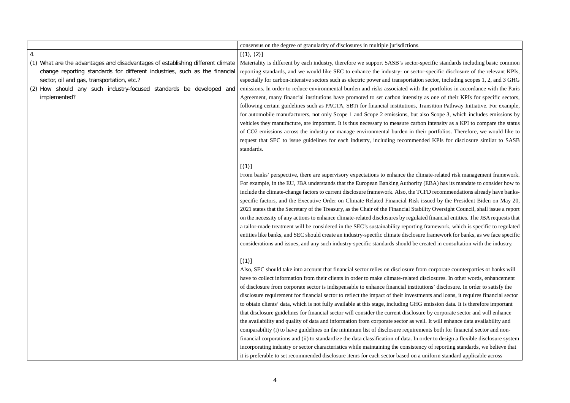fic standards including basic common ecific disclosure of the relevant KPIs, tor, including scopes 1, 2, and 3 GHG ortfolios in accordance with the Paris one of their KPIs for specific sectors, ition Pathway Initiative. For example, Scope 3, which includes emissions by tensity as a KPI to compare the status ortfolios. Therefore, we would like to KPIs for disclosure similar to SASB

-related risk management framework. A) has its mandate to consider how to recommendations already have banksd by the President Biden on May 20, Oversight Council, shall issue a report inancial entities. The JBA requests that mework, which is specific to regulated mework for banks, as we face specific ed in consultation with the industry.

by or show that into account that financial sector relationships will baures. In other words, enhancement disclosure. In order to satisfy the and loans, it requires financial sector ssion data. It is therefore important the disclosure guide corporate sector and will enhance will enhance data availability and both for financial sector and nonto design a flexible disclosure system incorporting standards, we believe that orm standard applicable across

|                                                                                    | consensus on the degree of granularity of disclosures in multiple jurisdictions.          |
|------------------------------------------------------------------------------------|-------------------------------------------------------------------------------------------|
| $\overline{4}$ .                                                                   | [(1), (2)]                                                                                |
| What are the advantages and disadvantages of establishing different climate<br>(1) | Materiality is different by each industry, therefore we support SASB's sector-specif      |
| change reporting standards for different industries, such as the financial         | reporting standards, and we would like SEC to enhance the industry- or sector-spe         |
| sector, oil and gas, transportation, etc.?                                         | especially for carbon-intensive sectors such as electric power and transportation sect    |
| How should any such industry-focused standards be developed<br>(2)<br>and          | emissions. In order to reduce environmental burden and risks associated with the position |
| implemented?                                                                       | Agreement, many financial institutions have promoted to set carbon intensity as o         |
|                                                                                    | following certain guidelines such as PACTA, SBTi for financial institutions, Transi       |
|                                                                                    | for automobile manufacturers, not only Scope 1 and Scope 2 emissions, but also S          |
|                                                                                    | vehicles they manufacture, are important. It is thus necessary to measure carbon int      |
|                                                                                    | of CO2 emissions across the industry or manage environmental burden in their po           |
|                                                                                    | request that SEC to issue guidelines for each industry, including recommended I           |
|                                                                                    | standards.                                                                                |
|                                                                                    | [(1)]                                                                                     |
|                                                                                    | From banks' perspective, there are supervisory expectations to enhance the climate-       |
|                                                                                    | For example, in the EU, JBA understands that the European Banking Authority (EB.          |
|                                                                                    | include the climate-change factors to current disclosure framework. Also, the TCFD is     |
|                                                                                    | specific factors, and the Executive Order on Climate-Related Financial Risk issued        |
|                                                                                    | 2021 states that the Secretary of the Treasury, as the Chair of the Financial Stability O |
|                                                                                    | on the necessity of any actions to enhance climate-related disclosures by regulated fire  |
|                                                                                    | a tailor-made treatment will be considered in the SEC's sustainability reporting fram     |
|                                                                                    | entities like banks, and SEC should create an industry-specific climate disclosure frau   |
|                                                                                    | considerations and issues, and any such industry-specific standards should be created     |
|                                                                                    |                                                                                           |
|                                                                                    | [(1)]                                                                                     |
|                                                                                    | Also, SEC should take into account that financial sector relies on disclosure from co     |
|                                                                                    | have to collect information from their clients in order to make climate-related disclo    |
|                                                                                    | of disclosure from corporate sector is indispensable to enhance financial institutions    |
|                                                                                    | disclosure requirement for financial sector to reflect the impact of their investments    |
|                                                                                    | to obtain clients' data, which is not fully available at this stage, including GHG emis   |
|                                                                                    | that disclosure guidelines for financial sector will consider the current disclosure by   |
|                                                                                    | the availability and quality of data and information from corporate sector as well. It    |
|                                                                                    | comparability (i) to have guidelines on the minimum list of disclosure requirements       |
|                                                                                    | financial corporations and (ii) to standardize the data classification of data. In order  |
|                                                                                    | incorporating industry or sector characteristics while maintaining the consistency of     |
|                                                                                    | it is preferable to set recommended disclosure items for each sector based on a unifo     |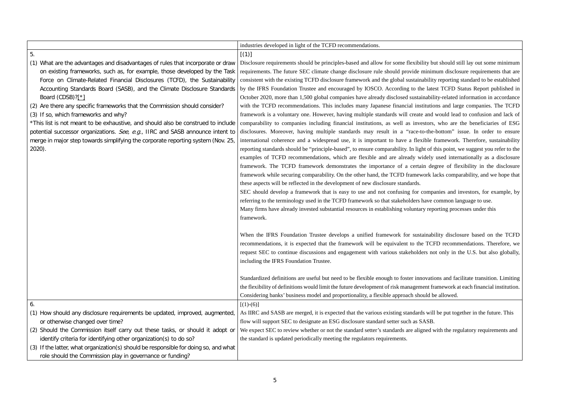but should still lay out some minimum imum disclosure requirements that are ity reporting standard to be established test TCFD Status Report published in oility-related information in accordance tions and large companies. The TCFD d would lead to confusion and lack of rs, who are the beneficiaries of ESG disclosures. Moreover, having multiple state in a "race-to-the-bottom" issue. In order to ensure framework. Therefore, sustainability f this point, we suggest you refer to the ly used internationally as a disclosure degree of flexibility in the disclosure framework all securious comparability, and we hope that

panies and investors, for example, by the terminon language to use. eporting processes under this

ability disclosure based on the TCFD CFD recommendations. Therefore, we not only in the U.S. but also globally,

tions and facilitate transition. Limiting framework at each financial institution. be allowed.

ill be put together in the future. This

I with the regulatory requirements and

|                                                                                      | industries developed in light of the TCFD recommendations.                              |
|--------------------------------------------------------------------------------------|-----------------------------------------------------------------------------------------|
| 5.                                                                                   | [(1)]                                                                                   |
| (1) What are the advantages and disadvantages of rules that incorporate or draw      | Disclosure requirements should be principles-based and allow for some flexibility be    |
| on existing frameworks, such as, for example, those developed by the Task            | requirements. The future SEC climate change disclosure rule should provide minin        |
| Force on Climate-Related Financial Disclosures (TCFD), the Sustainability            | consistent with the existing TCFD disclosure framework and the global sustainability    |
| Accounting Standards Board (SASB), and the Climate Disclosure Standards              | by the IFRS Foundation Trustee and encouraged by IOSCO. According to the late           |
| Board (CDSB)?[*]                                                                     | October 2020, more than 1,500 global companies have already disclosed sustainabil       |
| (2) Are there any specific frameworks that the Commission should consider?           | with the TCFD recommendations. This includes many Japanese financial institution        |
| (3) If so, which frameworks and why?                                                 | framework is a voluntary one. However, having multiple standards will create and        |
| *This list is not meant to be exhaustive, and should also be construed to include    | comparability to companies including financial institutions, as well as investors,      |
| potential successor organizations. See, e.g., IIRC and SASB announce intent to       | disclosures. Moreover, having multiple standards may result in a "race-to-the-          |
| merge in major step towards simplifying the corporate reporting system (Nov. 25,     | international coherence and a widespread use, it is important to have a flexible :      |
| $2020$ ).                                                                            | reporting standards should be "principle-based", to ensure comparability. In light of t |
|                                                                                      | examples of TCFD recommendations, which are flexible and are already widely             |
|                                                                                      | framework. The TCFD framework demonstrates the importance of a certain de               |
|                                                                                      | framework while securing comparability. On the other hand, the TCFD framework 1         |
|                                                                                      | these aspects will be reflected in the development of new disclosure standards.         |
|                                                                                      | SEC should develop a framework that is easy to use and not confusing for compa          |
|                                                                                      | referring to the terminology used in the TCFD framework so that stakeholders have       |
|                                                                                      | Many firms have already invested substantial resources in establishing voluntary rep    |
|                                                                                      | framework.                                                                              |
|                                                                                      |                                                                                         |
|                                                                                      | When the IFRS Foundation Trustee develops a unified framework for sustainab             |
|                                                                                      | recommendations, it is expected that the framework will be equivalent to the TCI        |
|                                                                                      | request SEC to continue discussions and engagement with various stakeholders no         |
|                                                                                      | including the IFRS Foundation Trustee.                                                  |
|                                                                                      |                                                                                         |
|                                                                                      | Standardized definitions are useful but need to be flexible enough to foster innovation |
|                                                                                      | the flexibility of definitions would limit the future development of risk management fr |
|                                                                                      | Considering banks' business model and proportionality, a flexible approach should b     |
| 6.                                                                                   | $[(1)-(6)]$                                                                             |
| (1) How should any disclosure requirements be updated, improved, augmented,          | As IIRC and SASB are merged, it is expected that the various existing standards will    |
| or otherwise changed over time?                                                      | flow will support SEC to designate an ESG disclosure standard setter such as SASB.      |
| (2) Should the Commission itself carry out these tasks, or should it adopt or        | We expect SEC to review whether or not the standard setter's standards are aligned v    |
| identify criteria for identifying other organization(s) to do so?                    | the standard is updated periodically meeting the regulators requirements.               |
| (3) If the latter, what organization(s) should be responsible for doing so, and what |                                                                                         |
| role should the Commission play in governance or funding?                            |                                                                                         |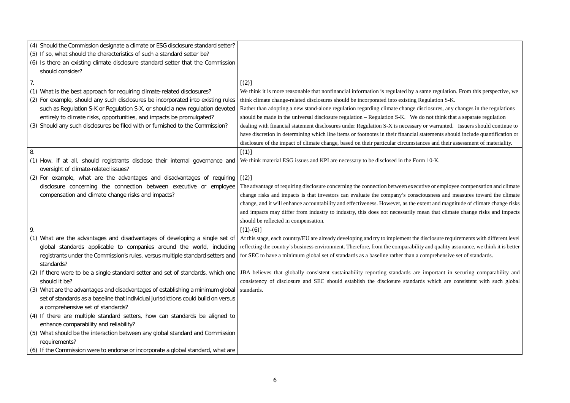le regulation. From this perspective, we ulation  $S-K$ .

osures, any changes in the regulations not think that a separate regulation warranted. Issuers should continue to ements should include quantification or s and their assessment of materiality.

e or employee compensation and climate sness and measures toward the climate it and magnitude of climate change risks. that climate change risks and impacts

closure requirements with different level nd quality assurance, we think it is better aprehensive set of standards.

portant in securing comparability and which are consistent with such global

| (4) Should the Commission designate a climate or ESG disclosure standard setter?<br>(5) If so, what should the characteristics of such a standard setter be?<br>(6) Is there an existing climate disclosure standard setter that the Commission<br>should consider?                                                                                                                                                                  |                                                                                                                                                                                                                                                                                                                                                                                                                                                                                                                                                                                                                                                                |
|--------------------------------------------------------------------------------------------------------------------------------------------------------------------------------------------------------------------------------------------------------------------------------------------------------------------------------------------------------------------------------------------------------------------------------------|----------------------------------------------------------------------------------------------------------------------------------------------------------------------------------------------------------------------------------------------------------------------------------------------------------------------------------------------------------------------------------------------------------------------------------------------------------------------------------------------------------------------------------------------------------------------------------------------------------------------------------------------------------------|
| 7.<br>(1) What is the best approach for requiring climate-related disclosures?<br>(2) For example, should any such disclosures be incorporated into existing rules<br>such as Regulation S-K or Regulation S-X, or should a new regulation devoted<br>entirely to climate risks, opportunities, and impacts be promulgated?<br>(3) Should any such disclosures be filed with or furnished to the Commission?                         | [(2)]<br>We think it is more reasonable that nonfinancial information is regulated by a same reg<br>think climate change-related disclosures should be incorporated into existing Regulation<br>Rather than adopting a new stand-alone regulation regarding climate change disclosure<br>should be made in the universal disclosure regulation - Regulation S-K. We do not th<br>dealing with financial statement disclosures under Regulation S-X is necessary or warr<br>have discretion in determining which line items or footnotes in their financial statemen<br>disclosure of the impact of climate change, based on their particular circumstances and |
| 8.<br>(1) How, if at all, should registrants disclose their internal governance and<br>oversight of climate-related issues?                                                                                                                                                                                                                                                                                                          | [(1)]<br>We think material ESG issues and KPI are necessary to be disclosed in the Form 10-K.                                                                                                                                                                                                                                                                                                                                                                                                                                                                                                                                                                  |
| (2) For example, what are the advantages and disadvantages of requiring<br>disclosure concerning the connection between executive or employee<br>compensation and climate change risks and impacts?                                                                                                                                                                                                                                  | [(2)]<br>The advantage of requiring disclosure concerning the connection between executive or e<br>change risks and impacts is that investors can evaluate the company's consciousness<br>change, and it will enhance accountability and effectiveness. However, as the extent and<br>and impacts may differ from industry to industry, this does not necessarily mean that<br>should be reflected in compensation.                                                                                                                                                                                                                                            |
| 9.<br>(1) What are the advantages and disadvantages of developing a single set of<br>global standards applicable to companies around the world, including<br>standards?                                                                                                                                                                                                                                                              | $[(1)-(6)]$<br>At this stage, each country/EU are already developing and try to implement the disclosu<br>reflecting the country's business environment. Therefore, from the comparability and qu<br>registrants under the Commission's rules, versus multiple standard setters and   for SEC to have a minimum global set of standards as a baseline rather than a compreh                                                                                                                                                                                                                                                                                    |
| (2) If there were to be a single standard setter and set of standards, which one<br>should it be?                                                                                                                                                                                                                                                                                                                                    | JBA believes that globally consistent sustainability reporting standards are important<br>consistency of disclosure and SEC should establish the disclosure standards which                                                                                                                                                                                                                                                                                                                                                                                                                                                                                    |
| (3) What are the advantages and disadvantages of establishing a minimum global<br>set of standards as a baseline that individual jurisdictions could build on versus<br>a comprehensive set of standards?<br>(4) If there are multiple standard setters, how can standards be aligned to<br>enhance comparability and reliability?<br>(5) What should be the interaction between any global standard and Commission<br>requirements? | standards.                                                                                                                                                                                                                                                                                                                                                                                                                                                                                                                                                                                                                                                     |
| (6) If the Commission were to endorse or incorporate a global standard, what are                                                                                                                                                                                                                                                                                                                                                     |                                                                                                                                                                                                                                                                                                                                                                                                                                                                                                                                                                                                                                                                |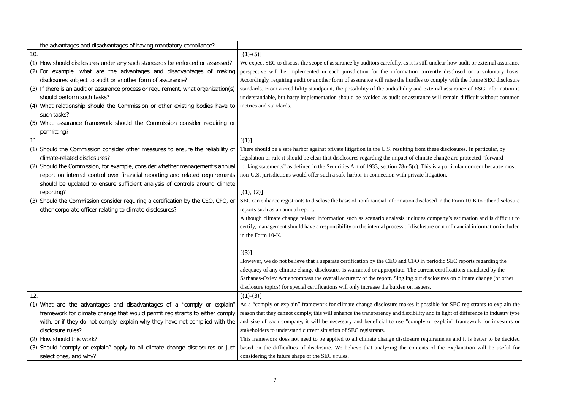unclear how audit or external assurance perspective disclosed on a voluntary basis. comply with the future SEC disclosure ternal assurance of ESG information is will remain difficult without common

hese disclosures. In particular, by te change are protected "forwards is a particular concern because most

sed in the Form 10-K to other disclosure

company's estimation and is difficult to re on nonfinancial information included

beriodic SEC reports regarding the ent certifications mandated by the sclosures on climate change (or other

sible for SEC registrants to explain the nd in light of difference in industry type or explain" framework for investors or

uirements and it is better to be decided of the Explanation will be useful for

| the advantages and disadvantages of having mandatory compliance?                   |                                                                                                |
|------------------------------------------------------------------------------------|------------------------------------------------------------------------------------------------|
| 10.                                                                                | $[(1)-(5)]$                                                                                    |
| (1) How should disclosures under any such standards be enforced or assessed?       | We expect SEC to discuss the scope of assurance by auditors carefully, as it is still unclear  |
| (2) For example, what are the advantages and disadvantages of making               | perspective will be implemented in each jurisdiction for the information currently d           |
| disclosures subject to audit or another form of assurance?                         | Accordingly, requiring audit or another form of assurance will raise the hurdles to comply     |
| (3) If there is an audit or assurance process or requirement, what organization(s) | standards. From a credibility standpoint, the possibility of the auditability and external as  |
| should perform such tasks?                                                         | understandable, but hasty implementation should be avoided as audit or assurance will re       |
| (4) What relationship should the Commission or other existing bodies have to       | metrics and standards.                                                                         |
| such tasks?                                                                        |                                                                                                |
| (5) What assurance framework should the Commission consider requiring or           |                                                                                                |
| permitting?                                                                        |                                                                                                |
| 11.                                                                                | [(1)]                                                                                          |
| (1) Should the Commission consider other measures to ensure the reliability of     | There should be a safe harbor against private litigation in the U.S. resulting from these dis  |
| climate-related disclosures?                                                       | legislation or rule it should be clear that disclosures regarding the impact of climate chang  |
| (2) Should the Commission, for example, consider whether management's annual       | looking statements" as defined in the Securities Act of 1933, section 78u-5(c). This is a pa   |
| report on internal control over financial reporting and related requirements       | non-U.S. jurisdictions would offer such a safe harbor in connection with private litigation.   |
| should be updated to ensure sufficient analysis of controls around climate         |                                                                                                |
| reporting?                                                                         | [(1), (2)]                                                                                     |
| (3) Should the Commission consider requiring a certification by the CEO, CFO, or   | SEC can enhance registrants to disclose the basis of nonfinancial information disclosed in the |
| other corporate officer relating to climate disclosures?                           | reports such as an annual report.                                                              |
|                                                                                    | Although climate change related information such as scenario analysis includes company         |
|                                                                                    | certify, management should have a responsibility on the internal process of disclosure on no   |
|                                                                                    | in the Form 10-K.                                                                              |
|                                                                                    |                                                                                                |
|                                                                                    | [(3)]                                                                                          |
|                                                                                    | However, we do not believe that a separate certification by the CEO and CFO in periodic        |
|                                                                                    | adequacy of any climate change disclosures is warranted or appropriate. The current certif     |
|                                                                                    | Sarbanes-Oxley Act encompass the overall accuracy of the report. Singling out disclosure       |
|                                                                                    | disclosure topics) for special certifications will only increase the burden on issuers.        |
| 12.                                                                                | $[(1)-(3)]$                                                                                    |
| (1) What are the advantages and disadvantages of a "comply or explain"             | As a "comply or explain" framework for climate change disclosure makes it possible for         |
| framework for climate change that would permit registrants to either comply        | reason that they cannot comply, this will enhance the transparency and flexibility and in lig  |
| with, or if they do not comply, explain why they have not complied with the        | and size of each company, it will be necessary and beneficial to use "comply or expla          |
| disclosure rules?                                                                  | stakeholders to understand current situation of SEC registrants.                               |
| (2) How should this work?                                                          | This framework does not need to be applied to all climate change disclosure requiremen         |
| (3) Should "comply or explain" apply to all climate change disclosures or just     | based on the difficulties of disclosure. We believe that analyzing the contents of the         |
| select ones, and why?                                                              | considering the future shape of the SEC's rules.                                               |